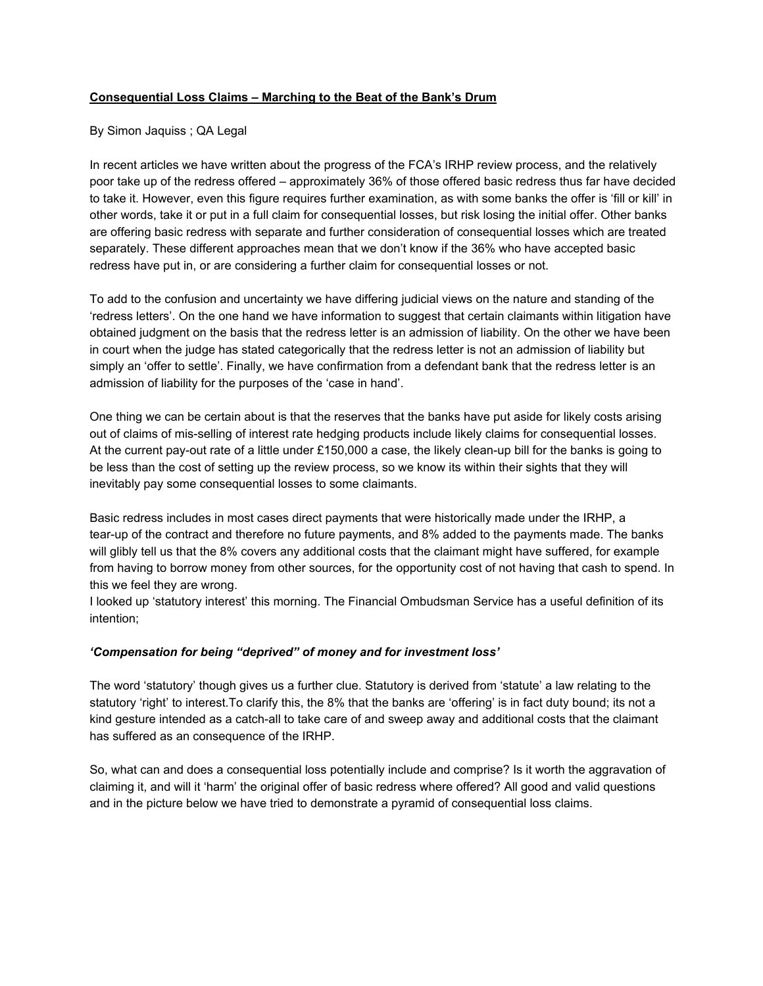## **Consequential Loss Claims – Marching to the Beat of the Bank's Drum**

### By Simon Jaquiss ; QA Legal

In recent articles we have written about the progress of the FCA's IRHP review process, and the relatively poor take up of the redress offered – approximately 36% of those offered basic redress thus far have decided to take it. However, even this figure requires further examination, as with some banks the offer is 'fill or kill' in other words, take it or put in a full claim for consequential losses, but risk losing the initial offer. Other banks are offering basic redress with separate and further consideration of consequential losses which are treated separately. These different approaches mean that we don't know if the 36% who have accepted basic redress have put in, or are considering a further claim for consequential losses or not.

To add to the confusion and uncertainty we have differing judicial views on the nature and standing of the 'redress letters'. On the one hand we have information to suggest that certain claimants within litigation have obtained judgment on the basis that the redress letter is an admission of liability. On the other we have been in court when the judge has stated categorically that the redress letter is not an admission of liability but simply an 'offer to settle'. Finally, we have confirmation from a defendant bank that the redress letter is an admission of liability for the purposes of the 'case in hand'.

One thing we can be certain about is that the reserves that the banks have put aside for likely costs arising out of claims of misselling of interest rate hedging products include likely claims for consequential losses. At the current pay-out rate of a little under £150,000 a case, the likely clean-up bill for the banks is going to be less than the cost of setting up the review process, so we know its within their sights that they will inevitably pay some consequential losses to some claimants.

Basic redress includes in most cases direct payments that were historically made under the IRHP, a tear-up of the contract and therefore no future payments, and 8% added to the payments made. The banks will glibly tell us that the 8% covers any additional costs that the claimant might have suffered, for example from having to borrow money from other sources, for the opportunity cost of not having that cash to spend. In this we feel they are wrong.

I looked up 'statutory interest' this morning. The Financial Ombudsman Service has a useful definition of its intention;

# *'Compensation for being "deprived" of money and for investment loss'*

The word 'statutory' though gives us a further clue. Statutory is derived from 'statute' a law relating to the statutory 'right' to interest.To clarify this, the 8% that the banks are 'offering' is in fact duty bound; its not a kind gesture intended as a catch-all to take care of and sweep away and additional costs that the claimant has suffered as an consequence of the IRHP.

So, what can and does a consequential loss potentially include and comprise? Is it worth the aggravation of claiming it, and will it 'harm' the original offer of basic redress where offered? All good and valid questions and in the picture below we have tried to demonstrate a pyramid of consequential loss claims.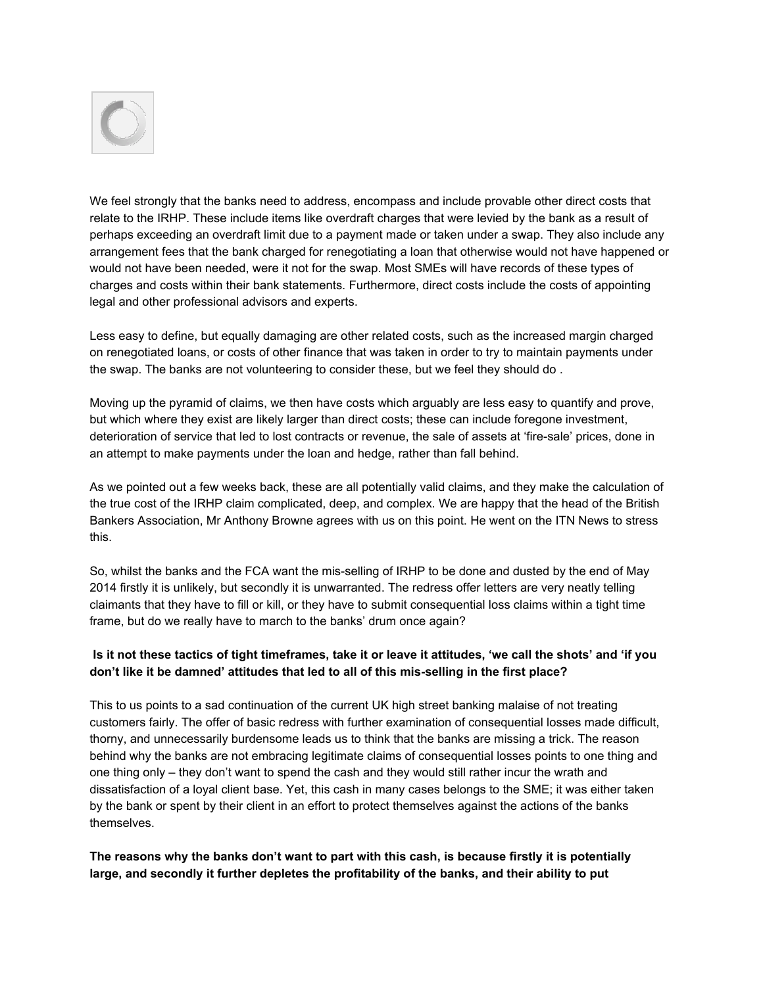

We feel strongly that the banks need to address, encompass and include provable other direct costs that relate to the IRHP. These include items like overdraft charges that were levied by the bank as a result of perhaps exceeding an overdraft limit due to a payment made or taken under a swap. They also include any arrangement fees that the bank charged for renegotiating a loan that otherwise would not have happened or would not have been needed, were it not for the swap. Most SMEs will have records of these types of charges and costs within their bank statements. Furthermore, direct costs include the costs of appointing legal and other professional advisors and experts.

Less easy to define, but equally damaging are other related costs, such as the increased margin charged on renegotiated loans, or costs of other finance that was taken in order to try to maintain payments under the swap. The banks are not volunteering to consider these, but we feel they should do .

Moving up the pyramid of claims, we then have costs which arguably are less easy to quantify and prove, but which where they exist are likely larger than direct costs; these can include foregone investment, deterioration of service that led to lost contracts or revenue, the sale of assets at 'fire-sale' prices, done in an attempt to make payments under the loan and hedge, rather than fall behind.

As we pointed out a few weeks back, these are all potentially valid claims, and they make the calculation of the true cost of the IRHP claim complicated, deep, and complex. We are happy that the head of the British Bankers Association, Mr Anthony Browne agrees with us on this point. He went on the ITN News to stress this.

So, whilst the banks and the FCA want the mis-selling of IRHP to be done and dusted by the end of May 2014 firstly it is unlikely, but secondly it is unwarranted. The redress offer letters are very neatly telling claimants that they have to fill or kill, or they have to submit consequential loss claims within a tight time frame, but do we really have to march to the banks' drum once again?

# Is it not these tactics of tight timeframes, take it or leave it attitudes, 'we call the shots' and 'if you **don't like it be damned' attitudes that led to all of this misselling in the first place?**

This to us points to a sad continuation of the current UK high street banking malaise of not treating customers fairly. The offer of basic redress with further examination of consequential losses made difficult, thorny, and unnecessarily burdensome leads us to think that the banks are missing a trick. The reason behind why the banks are not embracing legitimate claims of consequential losses points to one thing and one thing only – they don't want to spend the cash and they would still rather incur the wrath and dissatisfaction of a loyal client base. Yet, this cash in many cases belongs to the SME; it was either taken by the bank or spent by their client in an effort to protect themselves against the actions of the banks themselves.

# **The reasons why the banks don't want to part with this cash, is because firstly it is potentially large, and secondly it further depletes the profitability of the banks, and their ability to put**